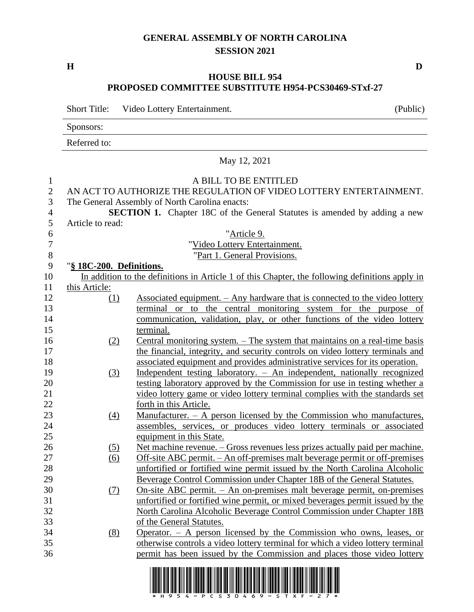# **GENERAL ASSEMBLY OF NORTH CAROLINA SESSION 2021**

**H D**

## **HOUSE BILL 954 PROPOSED COMMITTEE SUBSTITUTE H954-PCS30469-STxf-27**

Short Title: Video Lottery Entertainment. (Public)

Sponsors:

Referred to:

|                                                       |                          | May 12, 2021                                                                                                                                                                                                                      |
|-------------------------------------------------------|--------------------------|-----------------------------------------------------------------------------------------------------------------------------------------------------------------------------------------------------------------------------------|
| $\mathbf{1}$<br>$\overline{2}$<br>3<br>$\overline{4}$ |                          | A BILL TO BE ENTITLED<br>AN ACT TO AUTHORIZE THE REGULATION OF VIDEO LOTTERY ENTERTAINMENT.<br>The General Assembly of North Carolina enacts:<br><b>SECTION 1.</b> Chapter 18C of the General Statutes is amended by adding a new |
| 5                                                     | Article to read:         |                                                                                                                                                                                                                                   |
| 6<br>$\overline{7}$                                   |                          | "Article 9.                                                                                                                                                                                                                       |
| 8                                                     |                          | "Video Lottery Entertainment.<br>"Part 1. General Provisions.                                                                                                                                                                     |
| 9                                                     | "§ 18C-200. Definitions. |                                                                                                                                                                                                                                   |
| 10                                                    |                          | In addition to the definitions in Article 1 of this Chapter, the following definitions apply in                                                                                                                                   |
| 11                                                    | this Article:            |                                                                                                                                                                                                                                   |
| 12                                                    | $\Omega$                 | <u>Associated equipment. – Any hardware that is connected to the video lottery</u>                                                                                                                                                |
| 13                                                    |                          | terminal or to the central monitoring system for the purpose of                                                                                                                                                                   |
| 14                                                    |                          | communication, validation, play, or other functions of the video lottery                                                                                                                                                          |
| 15                                                    |                          | terminal.                                                                                                                                                                                                                         |
| 16                                                    | (2)                      | <u>Central monitoring system. – The system that maintains on a real-time basis</u>                                                                                                                                                |
| 17                                                    |                          | the financial, integrity, and security controls on video lottery terminals and                                                                                                                                                    |
| 18                                                    |                          | associated equipment and provides administrative services for its operation.                                                                                                                                                      |
| 19                                                    | (3)                      | Independent testing laboratory. - An independent, nationally recognized                                                                                                                                                           |
| 20                                                    |                          | testing laboratory approved by the Commission for use in testing whether a                                                                                                                                                        |
| 21                                                    |                          | video lottery game or video lottery terminal complies with the standards set                                                                                                                                                      |
| 22                                                    |                          | forth in this Article.                                                                                                                                                                                                            |
| 23                                                    | $\left(4\right)$         | Manufacturer. $-$ A person licensed by the Commission who manufactures,                                                                                                                                                           |
| 24                                                    |                          | assembles, services, or produces video lottery terminals or associated                                                                                                                                                            |
| $25\,$                                                |                          | equipment in this State.                                                                                                                                                                                                          |
| 26                                                    | <u>(5)</u>               | Net machine revenue. – Gross revenues less prizes actually paid per machine.                                                                                                                                                      |
| 27                                                    | (6)                      | Off-site ABC permit. - An off-premises malt beverage permit or off-premises                                                                                                                                                       |
| 28                                                    |                          | unfortified or fortified wine permit issued by the North Carolina Alcoholic                                                                                                                                                       |
| 29                                                    |                          | Beverage Control Commission under Chapter 18B of the General Statutes.                                                                                                                                                            |
| 30                                                    | (7)                      | <u>On-site ABC permit. – An on-premises malt beverage permit, on-premises</u>                                                                                                                                                     |
| 31                                                    |                          | unfortified or fortified wine permit, or mixed beverages permit issued by the                                                                                                                                                     |
| 32                                                    |                          | North Carolina Alcoholic Beverage Control Commission under Chapter 18B                                                                                                                                                            |
| 33                                                    |                          | of the General Statutes.                                                                                                                                                                                                          |
| 34<br>35                                              | (8)                      | Operator. $-$ A person licensed by the Commission who owns, leases, or                                                                                                                                                            |
| 36                                                    |                          | otherwise controls a video lottery terminal for which a video lottery terminal<br>permit has been issued by the Commission and places those video lottery                                                                         |
|                                                       |                          |                                                                                                                                                                                                                                   |
|                                                       |                          |                                                                                                                                                                                                                                   |

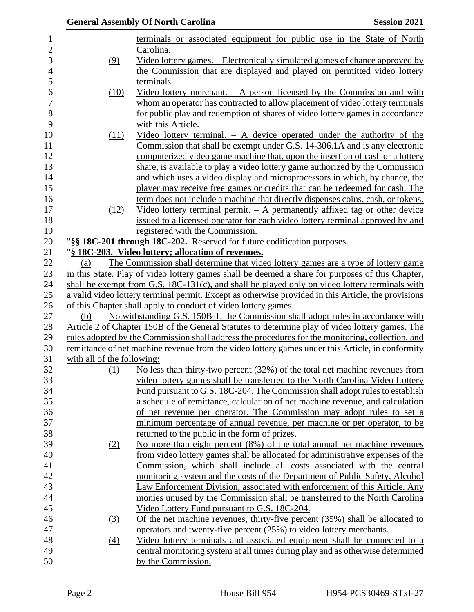|                            | <b>General Assembly Of North Carolina</b>                                                                                                                  | <b>Session 2021</b> |
|----------------------------|------------------------------------------------------------------------------------------------------------------------------------------------------------|---------------------|
|                            | terminals or associated equipment for public use in the State of North                                                                                     |                     |
|                            | Carolina.                                                                                                                                                  |                     |
| (9)                        | Video lottery games. – Electronically simulated games of chance approved by                                                                                |                     |
|                            | the Commission that are displayed and played on permitted video lottery                                                                                    |                     |
|                            | terminals.                                                                                                                                                 |                     |
| (10)                       | <u>Video lottery merchant. <math>-</math> A person licensed by the Commission and with</u>                                                                 |                     |
|                            | whom an operator has contracted to allow placement of video lottery terminals                                                                              |                     |
|                            | for public play and redemption of shares of video lottery games in accordance                                                                              |                     |
|                            | with this Article.                                                                                                                                         |                     |
| (11)                       | Video lottery terminal. $-$ A device operated under the authority of the                                                                                   |                     |
|                            | Commission that shall be exempt under G.S. 14-306.1A and is any electronic                                                                                 |                     |
|                            | computerized video game machine that, upon the insertion of cash or a lottery                                                                              |                     |
|                            | share, is available to play a video lottery game authorized by the Commission                                                                              |                     |
|                            |                                                                                                                                                            |                     |
|                            | and which uses a video display and microprocessors in which, by chance, the<br>player may receive free games or credits that can be redeemed for cash. The |                     |
|                            | term does not include a machine that directly dispenses coins, cash, or tokens.                                                                            |                     |
|                            | Video lottery terminal permit. $-$ A permanently affixed tag or other device                                                                               |                     |
| (12)                       |                                                                                                                                                            |                     |
|                            | issued to a licensed operator for each video lottery terminal approved by and<br>registered with the Commission.                                           |                     |
|                            | "§§ 18C-201 through 18C-202. Reserved for future codification purposes.                                                                                    |                     |
|                            | "§ 18C-203. Video lottery; allocation of revenues.                                                                                                         |                     |
| (a)                        | The Commission shall determine that video lottery games are a type of lottery game                                                                         |                     |
|                            | in this State. Play of video lottery games shall be deemed a share for purposes of this Chapter,                                                           |                     |
|                            | shall be exempt from G.S. $18C-131(c)$ , and shall be played only on video lottery terminals with                                                          |                     |
|                            | a valid video lottery terminal permit. Except as otherwise provided in this Article, the provisions                                                        |                     |
|                            | of this Chapter shall apply to conduct of video lottery games.                                                                                             |                     |
| (b)                        | Notwithstanding G.S. 150B-1, the Commission shall adopt rules in accordance with                                                                           |                     |
|                            | Article 2 of Chapter 150B of the General Statutes to determine play of video lottery games. The                                                            |                     |
|                            | rules adopted by the Commission shall address the procedures for the monitoring, collection, and                                                           |                     |
|                            | remittance of net machine revenue from the video lottery games under this Article, in conformity                                                           |                     |
| with all of the following: |                                                                                                                                                            |                     |
| (1)                        | No less than thirty-two percent $(32\%)$ of the total net machine revenues from                                                                            |                     |
|                            | video lottery games shall be transferred to the North Carolina Video Lottery                                                                               |                     |
|                            | Fund pursuant to G.S. 18C-204. The Commission shall adopt rules to establish                                                                               |                     |
|                            | a schedule of remittance, calculation of net machine revenue, and calculation                                                                              |                     |
|                            | of net revenue per operator. The Commission may adopt rules to set a                                                                                       |                     |
|                            | minimum percentage of annual revenue, per machine or per operator, to be                                                                                   |                     |
|                            | returned to the public in the form of prizes.                                                                                                              |                     |
| (2)                        | No more than eight percent (8%) of the total annual net machine revenues                                                                                   |                     |
|                            | from video lottery games shall be allocated for administrative expenses of the                                                                             |                     |
|                            | Commission, which shall include all costs associated with the central                                                                                      |                     |
|                            | monitoring system and the costs of the Department of Public Safety, Alcohol                                                                                |                     |
|                            | Law Enforcement Division, associated with enforcement of this Article. Any                                                                                 |                     |
|                            | monies unused by the Commission shall be transferred to the North Carolina                                                                                 |                     |
|                            | Video Lottery Fund pursuant to G.S. 18C-204.                                                                                                               |                     |
|                            |                                                                                                                                                            |                     |
| (3)                        | Of the net machine revenues, thirty-five percent $(35%)$ shall be allocated to                                                                             |                     |
|                            | operators and twenty-five percent (25%) to video lottery merchants.                                                                                        |                     |
| $\underline{(4)}$          | Video lottery terminals and associated equipment shall be connected to a<br>central monitoring system at all times during play and as otherwise determined |                     |
|                            | by the Commission.                                                                                                                                         |                     |
|                            |                                                                                                                                                            |                     |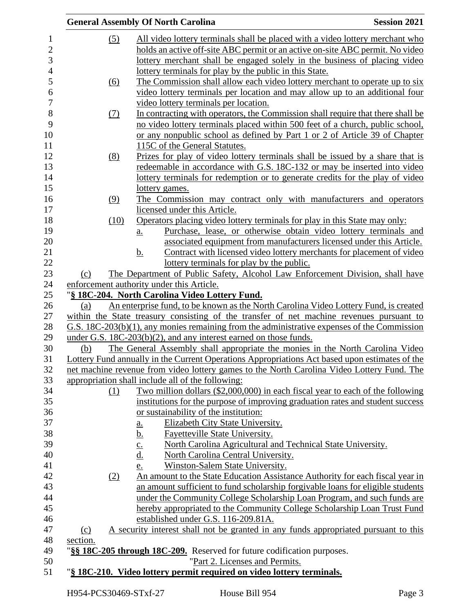|                   | <b>General Assembly Of North Carolina</b>                                                                               | <b>Session 2021</b> |
|-------------------|-------------------------------------------------------------------------------------------------------------------------|---------------------|
| $\left( 5\right)$ | All video lottery terminals shall be placed with a video lottery merchant who                                           |                     |
|                   | holds an active off-site ABC permit or an active on-site ABC permit. No video                                           |                     |
|                   | lottery merchant shall be engaged solely in the business of placing video                                               |                     |
|                   | lottery terminals for play by the public in this State.                                                                 |                     |
| (6)               | The Commission shall allow each video lottery merchant to operate up to six                                             |                     |
|                   | video lottery terminals per location and may allow up to an additional four                                             |                     |
|                   | video lottery terminals per location.                                                                                   |                     |
| (7)               | In contracting with operators, the Commission shall require that there shall be                                         |                     |
|                   | no video lottery terminals placed within 500 feet of a church, public school,                                           |                     |
|                   | or any nonpublic school as defined by Part 1 or 2 of Article 39 of Chapter                                              |                     |
|                   | 115C of the General Statutes.                                                                                           |                     |
| (8)               | Prizes for play of video lottery terminals shall be issued by a share that is                                           |                     |
|                   | redeemable in accordance with G.S. 18C-132 or may be inserted into video                                                |                     |
|                   | lottery terminals for redemption or to generate credits for the play of video                                           |                     |
|                   | lottery games.                                                                                                          |                     |
| (9)               | The Commission may contract only with manufacturers and operators                                                       |                     |
|                   | licensed under this Article.                                                                                            |                     |
| (10)              | Operators placing video lottery terminals for play in this State may only:                                              |                     |
|                   | Purchase, lease, or otherwise obtain video lottery terminals and<br>$\underline{a}$ .                                   |                     |
|                   | associated equipment from manufacturers licensed under this Article.                                                    |                     |
|                   | Contract with licensed video lottery merchants for placement of video<br><u>b.</u>                                      |                     |
|                   | lottery terminals for play by the public.                                                                               |                     |
| (c)               | The Department of Public Safety, Alcohol Law Enforcement Division, shall have                                           |                     |
|                   | enforcement authority under this Article.                                                                               |                     |
|                   | "§ 18C-204. North Carolina Video Lottery Fund.                                                                          |                     |
| (a)               | An enterprise fund, to be known as the North Carolina Video Lottery Fund, is created                                    |                     |
|                   | within the State treasury consisting of the transfer of net machine revenues pursuant to                                |                     |
|                   | $G.S. 18C-203(b)(1)$ , any monies remaining from the administrative expenses of the Commission                          |                     |
|                   | under G.S. 18C-203(b)(2), and any interest earned on those funds.                                                       |                     |
| (b)               | The General Assembly shall appropriate the monies in the North Carolina Video                                           |                     |
|                   | Lottery Fund annually in the Current Operations Appropriations Act based upon estimates of the                          |                     |
|                   | net machine revenue from video lottery games to the North Carolina Video Lottery Fund. The                              |                     |
|                   | appropriation shall include all of the following:                                                                       |                     |
| (1)               | Two million dollars $(\$2,000,000)$ in each fiscal year to each of the following                                        |                     |
|                   | institutions for the purpose of improving graduation rates and student success<br>or sustainability of the institution: |                     |
|                   | Elizabeth City State University.                                                                                        |                     |
|                   | <u>a.</u>                                                                                                               |                     |
|                   | Fayetteville State University.<br><u>b.</u><br>North Carolina Agricultural and Technical State University.              |                     |
|                   | $\frac{c}{d}$<br>North Carolina Central University.                                                                     |                     |
|                   | Winston-Salem State University.                                                                                         |                     |
| (2)               | e.<br>An amount to the State Education Assistance Authority for each fiscal year in                                     |                     |
|                   | an amount sufficient to fund scholarship forgivable loans for eligible students                                         |                     |
|                   | under the Community College Scholarship Loan Program, and such funds are                                                |                     |
|                   | hereby appropriated to the Community College Scholarship Loan Trust Fund                                                |                     |
|                   | established under G.S. 116-209.81A.                                                                                     |                     |
| (c)               | A security interest shall not be granted in any funds appropriated pursuant to this                                     |                     |
| section.          |                                                                                                                         |                     |
|                   | "§§ 18C-205 through 18C-209. Reserved for future codification purposes.                                                 |                     |
|                   | "Part 2. Licenses and Permits.                                                                                          |                     |
|                   | "§ 18C-210. Video lottery permit required on video lottery terminals.                                                   |                     |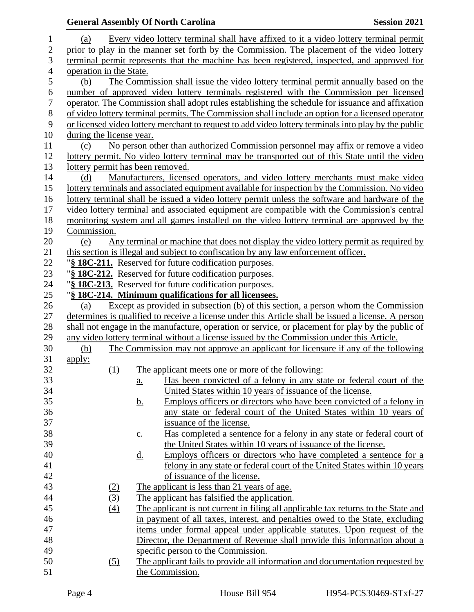## **General Assembly Of North Carolina Session 2021**  (a) Every video lottery terminal shall have affixed to it a video lottery terminal permit prior to play in the manner set forth by the Commission. The placement of the video lottery terminal permit represents that the machine has been registered, inspected, and approved for operation in the State. (b) The Commission shall issue the video lottery terminal permit annually based on the number of approved video lottery terminals registered with the Commission per licensed operator. The Commission shall adopt rules establishing the schedule for issuance and affixation of video lottery terminal permits. The Commission shall include an option for a licensed operator or licensed video lottery merchant to request to add video lottery terminals into play by the public during the license year. (c) No person other than authorized Commission personnel may affix or remove a video lottery permit. No video lottery terminal may be transported out of this State until the video lottery permit has been removed. (d) Manufacturers, licensed operators, and video lottery merchants must make video lottery terminals and associated equipment available for inspection by the Commission. No video lottery terminal shall be issued a video lottery permit unless the software and hardware of the video lottery terminal and associated equipment are compatible with the Commission's central monitoring system and all games installed on the video lottery terminal are approved by the Commission. (e) Any terminal or machine that does not display the video lottery permit as required by this section is illegal and subject to confiscation by any law enforcement officer. "**§ 18C-211.** Reserved for future codification purposes. "**§ 18C-212.** Reserved for future codification purposes. "**§ 18C-213.** Reserved for future codification purposes. "**§ 18C-214. Minimum qualifications for all licensees.** (a) Except as provided in subsection (b) of this section, a person whom the Commission determines is qualified to receive a license under this Article shall be issued a license. A person shall not engage in the manufacture, operation or service, or placement for play by the public of any video lottery terminal without a license issued by the Commission under this Article. (b) The Commission may not approve an applicant for licensure if any of the following apply: (1) The applicant meets one or more of the following: a. Has been convicted of a felony in any state or federal court of the United States within 10 years of issuance of the license. 35 b. Employs officers or directors who have been convicted of a felony in any state or federal court of the United States within 10 years of issuance of the license. 38 c. Has completed a sentence for a felony in any state or federal court of the United States within 10 years of issuance of the license. d. Employs officers or directors who have completed a sentence for a felony in any state or federal court of the United States within 10 years of issuance of the license. (2) The applicant is less than 21 years of age. (3) The applicant has falsified the application. (4) The applicant is not current in filing all applicable tax returns to the State and in payment of all taxes, interest, and penalties owed to the State, excluding items under formal appeal under applicable statutes. Upon request of the Director, the Department of Revenue shall provide this information about a specific person to the Commission. (5) The applicant fails to provide all information and documentation requested by 51 the Commission.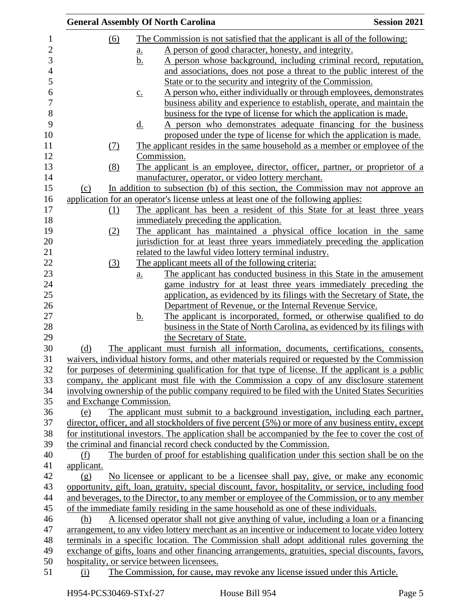|                          |                   | <b>General Assembly Of North Carolina</b>                                                                                                                                 | <b>Session 2021</b> |
|--------------------------|-------------------|---------------------------------------------------------------------------------------------------------------------------------------------------------------------------|---------------------|
| $\underline{(6)}$        |                   | The Commission is not satisfied that the applicant is all of the following:                                                                                               |                     |
|                          | <u>a.</u>         | A person of good character, honesty, and integrity.                                                                                                                       |                     |
|                          | <u>b.</u>         | A person whose background, including criminal record, reputation,                                                                                                         |                     |
|                          |                   | and associations, does not pose a threat to the public interest of the                                                                                                    |                     |
|                          |                   | State or to the security and integrity of the Commission.                                                                                                                 |                     |
|                          | $\underline{c}$ . | A person who, either individually or through employees, demonstrates                                                                                                      |                     |
|                          |                   | business ability and experience to establish, operate, and maintain the                                                                                                   |                     |
|                          |                   | business for the type of license for which the application is made.                                                                                                       |                     |
|                          | <u>d.</u>         | A person who demonstrates adequate financing for the business                                                                                                             |                     |
|                          |                   | proposed under the type of license for which the application is made.                                                                                                     |                     |
| (7)                      |                   | The applicant resides in the same household as a member or employee of the                                                                                                |                     |
|                          |                   | Commission.                                                                                                                                                               |                     |
| (8)                      |                   | The applicant is an employee, director, officer, partner, or proprietor of a                                                                                              |                     |
|                          |                   | manufacturer, operator, or video lottery merchant.                                                                                                                        |                     |
| (c)                      |                   | In addition to subsection (b) of this section, the Commission may not approve an                                                                                          |                     |
|                          |                   | application for an operator's license unless at least one of the following applies:                                                                                       |                     |
| (1)                      |                   | The applicant has been a resident of this State for at least three years                                                                                                  |                     |
|                          |                   | immediately preceding the application.                                                                                                                                    |                     |
| (2)                      |                   | The applicant has maintained a physical office location in the same                                                                                                       |                     |
|                          |                   | jurisdiction for at least three years immediately preceding the application                                                                                               |                     |
|                          |                   | related to the lawful video lottery terminal industry.                                                                                                                    |                     |
| (3)                      |                   | The applicant meets all of the following criteria:                                                                                                                        |                     |
|                          | <u>a.</u>         | The applicant has conducted business in this State in the amusement                                                                                                       |                     |
|                          |                   | game industry for at least three years immediately preceding the                                                                                                          |                     |
|                          |                   | application, as evidenced by its filings with the Secretary of State, the                                                                                                 |                     |
|                          |                   | Department of Revenue, or the Internal Revenue Service.                                                                                                                   |                     |
|                          | <u>b.</u>         | The applicant is incorporated, formed, or otherwise qualified to do                                                                                                       |                     |
|                          |                   | business in the State of North Carolina, as evidenced by its filings with                                                                                                 |                     |
|                          |                   | the Secretary of State.                                                                                                                                                   |                     |
| (d)                      |                   | The applicant must furnish all information, documents, certifications, consents,                                                                                          |                     |
|                          |                   | waivers, individual history forms, and other materials required or requested by the Commission                                                                            |                     |
|                          |                   | for purposes of determining qualification for that type of license. If the applicant is a public                                                                          |                     |
|                          |                   | company, the applicant must file with the Commission a copy of any disclosure statement                                                                                   |                     |
|                          |                   | involving ownership of the public company required to be filed with the United States Securities                                                                          |                     |
| and Exchange Commission. |                   |                                                                                                                                                                           |                     |
| (e)                      |                   | The applicant must submit to a background investigation, including each partner,                                                                                          |                     |
|                          |                   | director, officer, and all stockholders of five percent (5%) or more of any business entity, except                                                                       |                     |
|                          |                   | for institutional investors. The application shall be accompanied by the fee to cover the cost of<br>the criminal and financial record check conducted by the Commission. |                     |
| (f)                      |                   | The burden of proof for establishing qualification under this section shall be on the                                                                                     |                     |
| applicant.               |                   |                                                                                                                                                                           |                     |
| (g)                      |                   | No licensee or applicant to be a licensee shall pay, give, or make any economic                                                                                           |                     |
|                          |                   | opportunity, gift, loan, gratuity, special discount, favor, hospitality, or service, including food                                                                       |                     |
|                          |                   | and beverages, to the Director, to any member or employee of the Commission, or to any member                                                                             |                     |
|                          |                   | of the immediate family residing in the same household as one of these individuals.                                                                                       |                     |
| (h)                      |                   | A licensed operator shall not give anything of value, including a loan or a financing                                                                                     |                     |
|                          |                   | arrangement, to any video lottery merchant as an incentive or inducement to locate video lottery                                                                          |                     |
|                          |                   | terminals in a specific location. The Commission shall adopt additional rules governing the                                                                               |                     |
|                          |                   | exchange of gifts, loans and other financing arrangements, gratuities, special discounts, favors,                                                                         |                     |
|                          |                   | hospitality, or service between licensees.                                                                                                                                |                     |
| (i)                      |                   | The Commission, for cause, may revoke any license issued under this Article.                                                                                              |                     |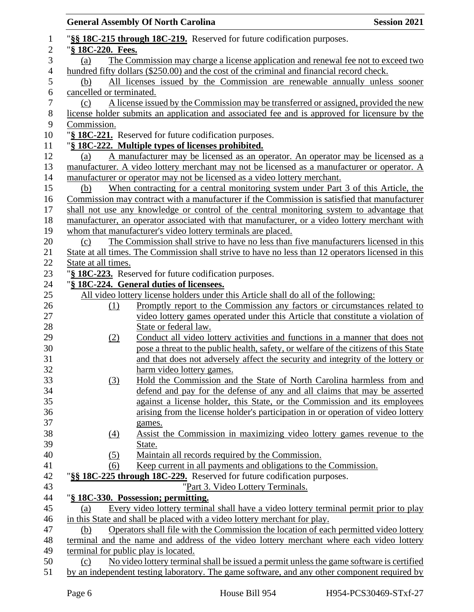|                |                          | <b>General Assembly Of North Carolina</b>                                                          | <b>Session 2021</b> |
|----------------|--------------------------|----------------------------------------------------------------------------------------------------|---------------------|
| 1              |                          | "§§ 18C-215 through 18C-219. Reserved for future codification purposes.                            |                     |
| $\mathbf{2}$   | "§ 18C-220. Fees.        |                                                                                                    |                     |
| 3              | (a)                      | The Commission may charge a license application and renewal fee not to exceed two                  |                     |
| $\overline{4}$ |                          | hundred fifty dollars (\$250.00) and the cost of the criminal and financial record check.          |                     |
| 5              | (b)                      | All licenses issued by the Commission are renewable annually unless sooner                         |                     |
| 6              | cancelled or terminated. |                                                                                                    |                     |
| 7              | (c)                      | A license issued by the Commission may be transferred or assigned, provided the new                |                     |
| 8              |                          | license holder submits an application and associated fee and is approved for licensure by the      |                     |
| 9              | Commission.              |                                                                                                    |                     |
| 10             |                          | "§ 18C-221. Reserved for future codification purposes.                                             |                     |
| 11             |                          | "§ 18C-222. Multiple types of licenses prohibited.                                                 |                     |
| 12             | (a)                      | A manufacturer may be licensed as an operator. An operator may be licensed as a                    |                     |
| 13             |                          | manufacturer. A video lottery merchant may not be licensed as a manufacturer or operator. A        |                     |
| 14             |                          | manufacturer or operator may not be licensed as a video lottery merchant.                          |                     |
| 15             | (b)                      | When contracting for a central monitoring system under Part 3 of this Article, the                 |                     |
| 16             |                          | Commission may contract with a manufacturer if the Commission is satisfied that manufacturer       |                     |
| 17             |                          | shall not use any knowledge or control of the central monitoring system to advantage that          |                     |
| 18             |                          | manufacturer, an operator associated with that manufacturer, or a video lottery merchant with      |                     |
| 19             |                          | whom that manufacturer's video lottery terminals are placed.                                       |                     |
| 20             | (c)                      | The Commission shall strive to have no less than five manufacturers licensed in this               |                     |
| 21             |                          | State at all times. The Commission shall strive to have no less than 12 operators licensed in this |                     |
| 22             | State at all times.      |                                                                                                    |                     |
| 23             |                          | "§ 18C-223. Reserved for future codification purposes.                                             |                     |
| 24             |                          | "§ 18C-224. General duties of licensees.                                                           |                     |
| 25             |                          | All video lottery license holders under this Article shall do all of the following:                |                     |
| 26             | (1)                      | Promptly report to the Commission any factors or circumstances related to                          |                     |
| 27             |                          | video lottery games operated under this Article that constitute a violation of                     |                     |
| 28             |                          | State or federal law.                                                                              |                     |
| 29             | (2)                      | Conduct all video lottery activities and functions in a manner that does not                       |                     |
| 30             |                          | pose a threat to the public health, safety, or welfare of the citizens of this State               |                     |
| 31             |                          | and that does not adversely affect the security and integrity of the lottery or                    |                     |
| 32             |                          | harm video lottery games.                                                                          |                     |
| 33             | (3)                      | Hold the Commission and the State of North Carolina harmless from and                              |                     |
| 34             |                          | defend and pay for the defense of any and all claims that may be asserted                          |                     |
| 35             |                          | against a license holder, this State, or the Commission and its employees                          |                     |
| 36             |                          | arising from the license holder's participation in or operation of video lottery                   |                     |
| 37             |                          | games.                                                                                             |                     |
| 38             | $\left(4\right)$         | Assist the Commission in maximizing video lottery games revenue to the                             |                     |
| 39             |                          | State.                                                                                             |                     |
| 40             | (5)                      | Maintain all records required by the Commission.                                                   |                     |
| 41             | (6)                      | Keep current in all payments and obligations to the Commission.                                    |                     |
| 42             |                          | "§§ 18C-225 through 18C-229. Reserved for future codification purposes.                            |                     |
| 43             |                          | "Part 3. Video Lottery Terminals.                                                                  |                     |
| 44             |                          | "§ 18C-330. Possession; permitting.                                                                |                     |
| 45             | (a)                      | Every video lottery terminal shall have a video lottery terminal permit prior to play              |                     |
| 46             |                          | in this State and shall be placed with a video lottery merchant for play.                          |                     |
| 47             | (b)                      | Operators shall file with the Commission the location of each permitted video lottery              |                     |
| 48             |                          | terminal and the name and address of the video lottery merchant where each video lottery           |                     |
| 49             |                          | terminal for public play is located.                                                               |                     |
| 50             | (c)                      | No video lottery terminal shall be issued a permit unless the game software is certified           |                     |
| 51             |                          | by an independent testing laboratory. The game software, and any other component required by       |                     |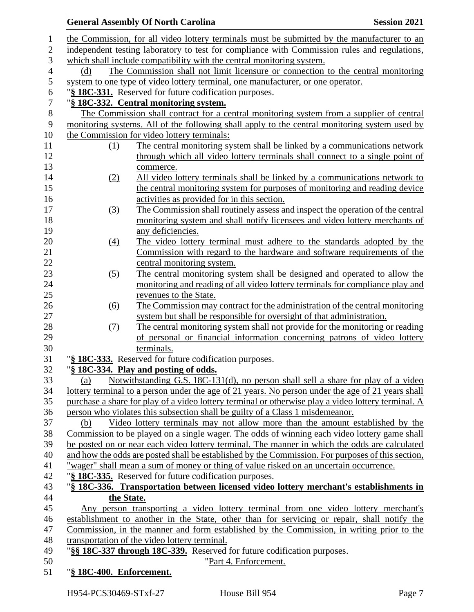## **General Assembly Of North Carolina Session 2021**  the Commission, for all video lottery terminals must be submitted by the manufacturer to an independent testing laboratory to test for compliance with Commission rules and regulations, which shall include compatibility with the central monitoring system. (d) The Commission shall not limit licensure or connection to the central monitoring system to one type of video lottery terminal, one manufacturer, or one operator. "**§ 18C-331.** Reserved for future codification purposes. "**§ 18C-332. Central monitoring system.** The Commission shall contract for a central monitoring system from a supplier of central monitoring systems. All of the following shall apply to the central monitoring system used by the Commission for video lottery terminals: (1) The central monitoring system shall be linked by a communications network 12 through which all video lottery terminals shall connect to a single point of commerce. (2) All video lottery terminals shall be linked by a communications network to the central monitoring system for purposes of monitoring and reading device activities as provided for in this section. (3) The Commission shall routinely assess and inspect the operation of the central monitoring system and shall notify licensees and video lottery merchants of 19 any deficiencies. (4) The video lottery terminal must adhere to the standards adopted by the Commission with regard to the hardware and software requirements of the central monitoring system. (5) The central monitoring system shall be designed and operated to allow the monitoring and reading of all video lottery terminals for compliance play and revenues to the State. 26 (6) The Commission may contract for the administration of the central monitoring system but shall be responsible for oversight of that administration. (7) The central monitoring system shall not provide for the monitoring or reading of personal or financial information concerning patrons of video lottery terminals. "**§ 18C-333.** Reserved for future codification purposes. "**§ 18C-334. Play and posting of odds.** (a) Notwithstanding G.S. 18C-131(d), no person shall sell a share for play of a video lottery terminal to a person under the age of 21 years. No person under the age of 21 years shall purchase a share for play of a video lottery terminal or otherwise play a video lottery terminal. A person who violates this subsection shall be guilty of a Class 1 misdemeanor. (b) Video lottery terminals may not allow more than the amount established by the Commission to be played on a single wager. The odds of winning each video lottery game shall be posted on or near each video lottery terminal. The manner in which the odds are calculated and how the odds are posted shall be established by the Commission. For purposes of this section, "wager" shall mean a sum of money or thing of value risked on an uncertain occurrence. "**§ 18C-335.** Reserved for future codification purposes. "**§ 18C-336. Transportation between licensed video lottery merchant's establishments in the State.** Any person transporting a video lottery terminal from one video lottery merchant's establishment to another in the State, other than for servicing or repair, shall notify the Commission, in the manner and form established by the Commission, in writing prior to the transportation of the video lottery terminal. "**§§ 18C-337 through 18C-339.** Reserved for future codification purposes. "Part 4. Enforcement. "**§ 18C-400. Enforcement.**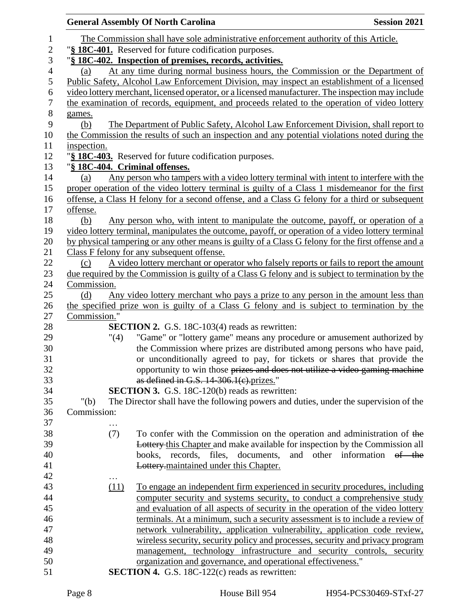|                  |                                | <b>General Assembly Of North Carolina</b>                                                                                                                   | <b>Session 2021</b>          |
|------------------|--------------------------------|-------------------------------------------------------------------------------------------------------------------------------------------------------------|------------------------------|
| 1                |                                | The Commission shall have sole administrative enforcement authority of this Article.                                                                        |                              |
| $\overline{2}$   |                                | "§ 18C-401. Reserved for future codification purposes.                                                                                                      |                              |
| 3                |                                | "§ 18C-402. Inspection of premises, records, activities.                                                                                                    |                              |
| $\overline{4}$   | (a)                            | At any time during normal business hours, the Commission or the Department of                                                                               |                              |
| 5                |                                | Public Safety, Alcohol Law Enforcement Division, may inspect an establishment of a licensed                                                                 |                              |
| 6                |                                | video lottery merchant, licensed operator, or a licensed manufacturer. The inspection may include                                                           |                              |
| $\boldsymbol{7}$ |                                | the examination of records, equipment, and proceeds related to the operation of video lottery                                                               |                              |
| 8                | games.                         |                                                                                                                                                             |                              |
| 9                | (b)                            | The Department of Public Safety, Alcohol Law Enforcement Division, shall report to                                                                          |                              |
| 10               |                                | the Commission the results of such an inspection and any potential violations noted during the                                                              |                              |
| 11               | inspection.                    |                                                                                                                                                             |                              |
| 12               |                                | "§ 18C-403. Reserved for future codification purposes.                                                                                                      |                              |
| 13               | "§ 18C-404. Criminal offenses. |                                                                                                                                                             |                              |
| 14               | (a)                            | Any person who tampers with a video lottery terminal with intent to interfere with the                                                                      |                              |
| 15               |                                | proper operation of the video lottery terminal is guilty of a Class 1 misdemeanor for the first                                                             |                              |
| 16               |                                | offense, a Class H felony for a second offense, and a Class G felony for a third or subsequent                                                              |                              |
| 17               | offense.                       |                                                                                                                                                             |                              |
| 18               | (b)                            | Any person who, with intent to manipulate the outcome, payoff, or operation of a                                                                            |                              |
| 19               |                                | video lottery terminal, manipulates the outcome, payoff, or operation of a video lottery terminal                                                           |                              |
| 20               |                                | by physical tampering or any other means is guilty of a Class G felony for the first offense and a                                                          |                              |
| 21               |                                | Class F felony for any subsequent offense.                                                                                                                  |                              |
| 22               | (c)                            | A video lottery merchant or operator who falsely reports or fails to report the amount                                                                      |                              |
| 23               |                                | due required by the Commission is guilty of a Class G felony and is subject to termination by the                                                           |                              |
| 24               | Commission.                    |                                                                                                                                                             |                              |
| 25               | (d)                            | Any video lottery merchant who pays a prize to any person in the amount less than                                                                           |                              |
| 26               |                                | the specified prize won is guilty of a Class G felony and is subject to termination by the                                                                  |                              |
| 27               | Commission."                   |                                                                                                                                                             |                              |
| 28               |                                | <b>SECTION 2.</b> G.S. 18C-103(4) reads as rewritten:                                                                                                       |                              |
| 29               | "(4)                           | "Game" or "lottery game" means any procedure or amusement authorized by                                                                                     |                              |
| 30               |                                | the Commission where prizes are distributed among persons who have paid,                                                                                    |                              |
| 31               |                                | or unconditionally agreed to pay, for tickets or shares that provide the                                                                                    |                              |
| 32               |                                | opportunity to win those prizes and does not utilize a video gaming machine                                                                                 |                              |
| 33               |                                | as defined in G.S. 14-306.1(e).prizes."                                                                                                                     |                              |
| 34               |                                | <b>SECTION 3.</b> G.S. 18C-120(b) reads as rewritten:                                                                                                       |                              |
| 35               | " $(b)$                        | The Director shall have the following powers and duties, under the supervision of the                                                                       |                              |
| 36               | Commission:                    |                                                                                                                                                             |                              |
| 37               |                                |                                                                                                                                                             |                              |
| 38               | (7)                            | To confer with the Commission on the operation and administration of the                                                                                    |                              |
| 39               |                                | <b>Lottery this Chapter and make available for inspection by the Commission all</b>                                                                         |                              |
| 40               |                                | books, records, files, documents,                                                                                                                           | and other information of the |
| 41<br>42         |                                | Lottery-maintained under this Chapter.                                                                                                                      |                              |
| 43               | $\cdots$                       |                                                                                                                                                             |                              |
| 44               | (11)                           | To engage an independent firm experienced in security procedures, including                                                                                 |                              |
| 45               |                                | computer security and systems security, to conduct a comprehensive study<br>and evaluation of all aspects of security in the operation of the video lottery |                              |
| 46               |                                | terminals. At a minimum, such a security assessment is to include a review of                                                                               |                              |
| 47               |                                | network vulnerability, application vulnerability, application code review,                                                                                  |                              |
| 48               |                                | wireless security, security policy and processes, security and privacy program                                                                              |                              |
| 49               |                                | management, technology infrastructure and security controls, security                                                                                       |                              |
| 50               |                                | organization and governance, and operational effectiveness."                                                                                                |                              |
| 51               |                                | <b>SECTION 4.</b> G.S. $18C-122(c)$ reads as rewritten:                                                                                                     |                              |
|                  |                                |                                                                                                                                                             |                              |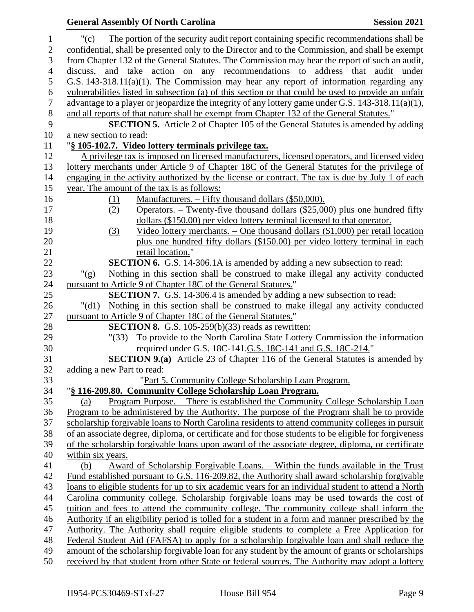## "(c) The portion of the security audit report containing specific recommendations shall be confidential, shall be presented only to the Director and to the Commission, and shall be exempt from Chapter 132 of the General Statutes. The Commission may hear the report of such an audit, discuss, and take action on any recommendations to address that audit under G.S. 143-318.11(a)(1). The Commission may hear any report of information regarding any vulnerabilities listed in subsection (a) of this section or that could be used to provide an unfair advantage to a player or jeopardize the integrity of any lottery game under G.S. 143-318.11(a)(1), 8 and all reports of that nature shall be exempt from Chapter 132 of the General Statutes." **SECTION 5.** Article 2 of Chapter 105 of the General Statutes is amended by adding a new section to read: "**§ 105-102.7. Video lottery terminals privilege tax.** A privilege tax is imposed on licensed manufacturers, licensed operators, and licensed video lottery merchants under Article 9 of Chapter 18C of the General Statutes for the privilege of engaging in the activity authorized by the license or contract. The tax is due by July 1 of each year. The amount of the tax is as follows: (1) Manufacturers. – Fifty thousand dollars (\$50,000). (2) Operators. – Twenty-five thousand dollars (\$25,000) plus one hundred fifty dollars (\$150.00) per video lottery terminal licensed to that operator. (3) Video lottery merchants. – One thousand dollars (\$1,000) per retail location plus one hundred fifty dollars (\$150.00) per video lottery terminal in each 21 retail location." **SECTION 6.** G.S. 14-306.1A is amended by adding a new subsection to read: "(g) Nothing in this section shall be construed to make illegal any activity conducted pursuant to Article 9 of Chapter 18C of the General Statutes." **SECTION 7.** G.S. 14-306.4 is amended by adding a new subsection to read: "(d1) Nothing in this section shall be construed to make illegal any activity conducted 27 pursuant to Article 9 of Chapter 18C of the General Statutes." **SECTION 8.** G.S. 105-259(b)(33) reads as rewritten: "(33) To provide to the North Carolina State Lottery Commission the information required under G.S. 18C-141.G.S. 18C-141 and G.S. 18C-214." **SECTION 9.(a)** Article 23 of Chapter 116 of the General Statutes is amended by adding a new Part to read: "Part 5. Community College Scholarship Loan Program. "**§ 116-209.80. Community College Scholarship Loan Program.** (a) Program Purpose. – There is established the Community College Scholarship Loan Program to be administered by the Authority. The purpose of the Program shall be to provide scholarship forgivable loans to North Carolina residents to attend community colleges in pursuit of an associate degree, diploma, or certificate and for those students to be eligible for forgiveness of the scholarship forgivable loans upon award of the associate degree, diploma, or certificate within six years. (b) Award of Scholarship Forgivable Loans. – Within the funds available in the Trust Fund established pursuant to G.S. 116-209.82, the Authority shall award scholarship forgivable loans to eligible students for up to six academic years for an individual student to attend a North Carolina community college. Scholarship forgivable loans may be used towards the cost of tuition and fees to attend the community college. The community college shall inform the Authority if an eligibility period is tolled for a student in a form and manner prescribed by the Authority. The Authority shall require eligible students to complete a Free Application for Federal Student Aid (FAFSA) to apply for a scholarship forgivable loan and shall reduce the amount of the scholarship forgivable loan for any student by the amount of grants or scholarships received by that student from other State or federal sources. The Authority may adopt a lottery

**General Assembly Of North Carolina Session 2021**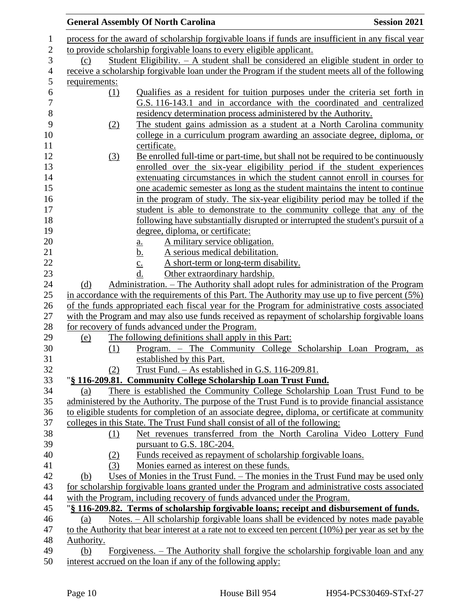|                   |     | <b>General Assembly Of North Carolina</b>                                                                                                                                                                                                                   | <b>Session 2021</b> |
|-------------------|-----|-------------------------------------------------------------------------------------------------------------------------------------------------------------------------------------------------------------------------------------------------------------|---------------------|
|                   |     | process for the award of scholarship forgivable loans if funds are insufficient in any fiscal year                                                                                                                                                          |                     |
|                   |     | to provide scholarship forgivable loans to every eligible applicant.                                                                                                                                                                                        |                     |
| (c)               |     | Student Eligibility. $- A$ student shall be considered an eligible student in order to                                                                                                                                                                      |                     |
|                   |     | receive a scholarship forgivable loan under the Program if the student meets all of the following                                                                                                                                                           |                     |
| requirements:     |     |                                                                                                                                                                                                                                                             |                     |
|                   | (1) | Qualifies as a resident for tuition purposes under the criteria set forth in<br>G.S. 116-143.1 and in accordance with the coordinated and centralized                                                                                                       |                     |
|                   | (2) | residency determination process administered by the Authority.<br>The student gains admission as a student at a North Carolina community<br>college in a curriculum program awarding an associate degree, diploma, or                                       |                     |
|                   | (3) | certificate.<br>Be enrolled full-time or part-time, but shall not be required to be continuously<br>enrolled over the six-year eligibility period if the student experiences<br>extenuating circumstances in which the student cannot enroll in courses for |                     |
|                   |     | one academic semester as long as the student maintains the intent to continue<br>in the program of study. The six-year eligibility period may be tolled if the                                                                                              |                     |
|                   |     | student is able to demonstrate to the community college that any of the<br>following have substantially disrupted or interrupted the student's pursuit of a                                                                                                 |                     |
|                   |     | degree, diploma, or certificate:                                                                                                                                                                                                                            |                     |
|                   |     | A military service obligation.<br>$\underline{a}$ .                                                                                                                                                                                                         |                     |
|                   |     | A serious medical debilitation.<br><u>b.</u>                                                                                                                                                                                                                |                     |
|                   |     | A short-term or long-term disability.                                                                                                                                                                                                                       |                     |
|                   |     | $rac{c}{d}$ .<br>Other extraordinary hardship.                                                                                                                                                                                                              |                     |
| (d)               |     | Administration. – The Authority shall adopt rules for administration of the Program                                                                                                                                                                         |                     |
|                   |     | in accordance with the requirements of this Part. The Authority may use up to five percent $(5\%)$                                                                                                                                                          |                     |
|                   |     | of the funds appropriated each fiscal year for the Program for administrative costs associated<br>with the Program and may also use funds received as repayment of scholarship forgivable loans                                                             |                     |
|                   |     | for recovery of funds advanced under the Program.                                                                                                                                                                                                           |                     |
| <u>(e)</u>        |     | The following definitions shall apply in this Part:                                                                                                                                                                                                         |                     |
|                   | (1) | Program. - The Community College Scholarship Loan Program,<br>established by this Part.                                                                                                                                                                     | as                  |
|                   | (2) | Trust Fund. - As established in G.S. 116-209.81.                                                                                                                                                                                                            |                     |
|                   |     | "§ 116-209.81. Community College Scholarship Loan Trust Fund.                                                                                                                                                                                               |                     |
| (a)               |     | There is established the Community College Scholarship Loan Trust Fund to be                                                                                                                                                                                |                     |
|                   |     | administered by the Authority. The purpose of the Trust Fund is to provide financial assistance                                                                                                                                                             |                     |
|                   |     | to eligible students for completion of an associate degree, diploma, or certificate at community                                                                                                                                                            |                     |
|                   |     | colleges in this State. The Trust Fund shall consist of all of the following:                                                                                                                                                                               |                     |
|                   | (1) | Net revenues transferred from the North Carolina Video Lottery Fund                                                                                                                                                                                         |                     |
|                   |     | pursuant to G.S. 18C-204.                                                                                                                                                                                                                                   |                     |
|                   | (2) | Funds received as repayment of scholarship forgivable loans.                                                                                                                                                                                                |                     |
|                   | (3) | Monies earned as interest on these funds.                                                                                                                                                                                                                   |                     |
| (b)               |     | <u>Uses of Monies in the Trust Fund. – The monies in the Trust Fund may be used only</u>                                                                                                                                                                    |                     |
|                   |     | for scholarship forgivable loans granted under the Program and administrative costs associated                                                                                                                                                              |                     |
|                   |     | with the Program, including recovery of funds advanced under the Program.                                                                                                                                                                                   |                     |
|                   |     | "§ 116-209.82. Terms of scholarship forgivable loans; receipt and disbursement of funds.                                                                                                                                                                    |                     |
| (a)               |     | Notes. - All scholarship forgivable loans shall be evidenced by notes made payable                                                                                                                                                                          |                     |
|                   |     | to the Authority that bear interest at a rate not to exceed ten percent (10%) per year as set by the                                                                                                                                                        |                     |
| Authority.<br>(b) |     | Forgiveness. – The Authority shall forgive the scholarship forgivable loan and any                                                                                                                                                                          |                     |
|                   |     | interest accrued on the loan if any of the following apply:                                                                                                                                                                                                 |                     |
|                   |     |                                                                                                                                                                                                                                                             |                     |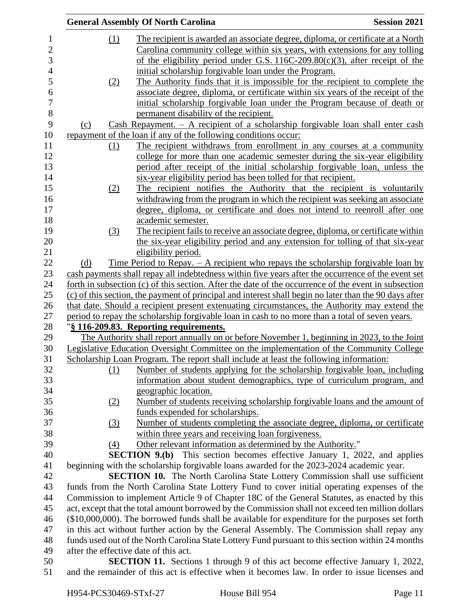|                | <b>General Assembly Of North Carolina</b> | <b>Session 2021</b>                                                                                    |  |
|----------------|-------------------------------------------|--------------------------------------------------------------------------------------------------------|--|
| 1              | (1)                                       | The recipient is awarded an associate degree, diploma, or certificate at a North                       |  |
| $\overline{c}$ |                                           | Carolina community college within six years, with extensions for any tolling                           |  |
| 3              |                                           | of the eligibility period under G.S. $116C-209.80(c)(3)$ , after receipt of the                        |  |
| $\overline{4}$ |                                           | initial scholarship forgivable loan under the Program.                                                 |  |
| 5              | (2)                                       | The Authority finds that it is impossible for the recipient to complete the                            |  |
| 6              |                                           | associate degree, diploma, or certificate within six years of the receipt of the                       |  |
| 7              |                                           | initial scholarship forgivable loan under the Program because of death or                              |  |
| 8              |                                           | permanent disability of the recipient.                                                                 |  |
| 9              | (c)                                       | Cash Repayment. $-$ A recipient of a scholarship forgivable loan shall enter cash                      |  |
| 10             |                                           | repayment of the loan if any of the following conditions occur:                                        |  |
| 11             | (1)                                       | The recipient withdraws from enrollment in any courses at a community                                  |  |
| 12             |                                           | college for more than one academic semester during the six-year eligibility                            |  |
| 13             |                                           | period after receipt of the initial scholarship forgivable loan, unless the                            |  |
| 14             |                                           | six-year eligibility period has been tolled for that recipient.                                        |  |
| 15             | (2)                                       | The recipient notifies the Authority that the recipient is voluntarily                                 |  |
| 16             |                                           | withdrawing from the program in which the recipient was seeking an associate                           |  |
| 17             |                                           | degree, diploma, or certificate and does not intend to reenroll after one                              |  |
| 18             |                                           | academic semester.                                                                                     |  |
| 19             | (3)                                       | The recipient fails to receive an associate degree, diploma, or certificate within                     |  |
| 20             |                                           | the six-year eligibility period and any extension for tolling of that six-year                         |  |
| 21             |                                           | eligibility period.                                                                                    |  |
| 22             | (d)                                       | <u>Time Period to Repay. <math>-</math> A recipient who repays the scholarship forgivable loan by</u>  |  |
| 23             |                                           | cash payments shall repay all indebtedness within five years after the occurrence of the event set     |  |
| 24             |                                           | forth in subsection (c) of this section. After the date of the occurrence of the event in subsection   |  |
| 25             |                                           | (c) of this section, the payment of principal and interest shall begin no later than the 90 days after |  |
| 26             |                                           | that date. Should a recipient present extenuating circumstances, the Authority may extend the          |  |
| 27             |                                           | period to repay the scholarship forgivable loan in cash to no more than a total of seven years.        |  |
| 28             |                                           | "§ 116-209.83. Reporting requirements.                                                                 |  |
| 29             |                                           | The Authority shall report annually on or before November 1, beginning in 2023, to the Joint           |  |
| 30             |                                           | Legislative Education Oversight Committee on the implementation of the Community College               |  |
| 31             |                                           | Scholarship Loan Program. The report shall include at least the following information:                 |  |
| 32             | (1)                                       | Number of students applying for the scholarship forgivable loan, including                             |  |
| 33             |                                           | information about student demographics, type of curriculum program, and                                |  |
| 34             |                                           | geographic location.                                                                                   |  |
| 35             | (2)                                       | Number of students receiving scholarship forgivable loans and the amount of                            |  |
| 36             |                                           | funds expended for scholarships.                                                                       |  |
| 37             | (3)                                       | Number of students completing the associate degree, diploma, or certificate                            |  |
| 38             |                                           | within three years and receiving loan forgiveness.                                                     |  |
| 39             | (4)                                       | Other relevant information as determined by the Authority."                                            |  |
| 40             |                                           | <b>SECTION 9.(b)</b> This section becomes effective January 1, 2022, and applies                       |  |
| 41             |                                           | beginning with the scholarship forgivable loans awarded for the 2023-2024 academic year.               |  |
| 42             |                                           | SECTION 10. The North Carolina State Lottery Commission shall use sufficient                           |  |
| 43             |                                           | funds from the North Carolina State Lottery Fund to cover initial operating expenses of the            |  |
| 44             |                                           | Commission to implement Article 9 of Chapter 18C of the General Statutes, as enacted by this           |  |
| 45             |                                           | act, except that the total amount borrowed by the Commission shall not exceed ten million dollars      |  |
| 46             |                                           | $($10,000,000)$ . The borrowed funds shall be available for expenditure for the purposes set forth     |  |
| 47             |                                           | in this act without further action by the General Assembly. The Commission shall repay any             |  |
| 48             |                                           | funds used out of the North Carolina State Lottery Fund pursuant to this section within 24 months      |  |
| 49             | after the effective date of this act.     |                                                                                                        |  |
| 50             |                                           | <b>SECTION 11.</b> Sections 1 through 9 of this act become effective January 1, 2022,                  |  |
| 51             |                                           | and the remainder of this act is effective when it becomes law. In order to issue licenses and         |  |